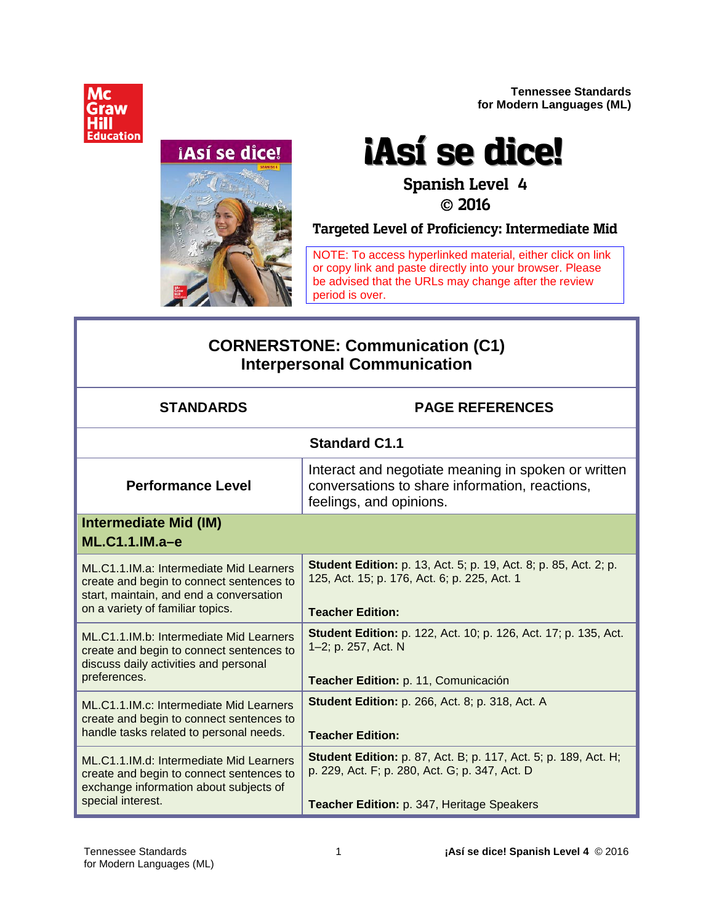**Tennessee Standards for Modern Languages (ML)**





# **¡Así se dice!**

#### **Spanish Level 4 2016**

**Targeted Level of Proficiency: Intermediate Mid**

NOTE: To access hyperlinked material, either click on link or copy link and paste directly into your browser. Please be advised that the URLs may change after the review period is over.

### **CORNERSTONE: Communication (C1) Interpersonal Communication**

| <b>STANDARDS</b>                                                                                                                                                   | <b>PAGE REFERENCES</b>                                                                                                                                                 |
|--------------------------------------------------------------------------------------------------------------------------------------------------------------------|------------------------------------------------------------------------------------------------------------------------------------------------------------------------|
|                                                                                                                                                                    | <b>Standard C1.1</b>                                                                                                                                                   |
| <b>Performance Level</b>                                                                                                                                           | Interact and negotiate meaning in spoken or written<br>conversations to share information, reactions,<br>feelings, and opinions.                                       |
| <b>Intermediate Mid (IM)</b><br>$ML.C1.1.M.a-e$                                                                                                                    |                                                                                                                                                                        |
| ML.C1.1.IM.a: Intermediate Mid Learners<br>create and begin to connect sentences to<br>start, maintain, and end a conversation<br>on a variety of familiar topics. | <b>Student Edition:</b> p. 13, Act. 5; p. 19, Act. 8; p. 85, Act. 2; p.<br>125, Act. 15; p. 176, Act. 6; p. 225, Act. 1<br><b>Teacher Edition:</b>                     |
| ML.C1.1.IM.b: Intermediate Mid Learners<br>create and begin to connect sentences to<br>discuss daily activities and personal<br>preferences.                       | <b>Student Edition:</b> p. 122, Act. 10; p. 126, Act. 17; p. 135, Act.<br>1-2; p. 257, Act. N<br>Teacher Edition: p. 11, Comunicación                                  |
| ML.C1.1.IM.c: Intermediate Mid Learners<br>create and begin to connect sentences to<br>handle tasks related to personal needs.                                     | <b>Student Edition: p. 266, Act. 8; p. 318, Act. A</b><br><b>Teacher Edition:</b>                                                                                      |
| ML.C1.1.IM.d: Intermediate Mid Learners<br>create and begin to connect sentences to<br>exchange information about subjects of<br>special interest.                 | <b>Student Edition:</b> p. 87, Act. B; p. 117, Act. 5; p. 189, Act. H;<br>p. 229, Act. F; p. 280, Act. G; p. 347, Act. D<br>Teacher Edition: p. 347, Heritage Speakers |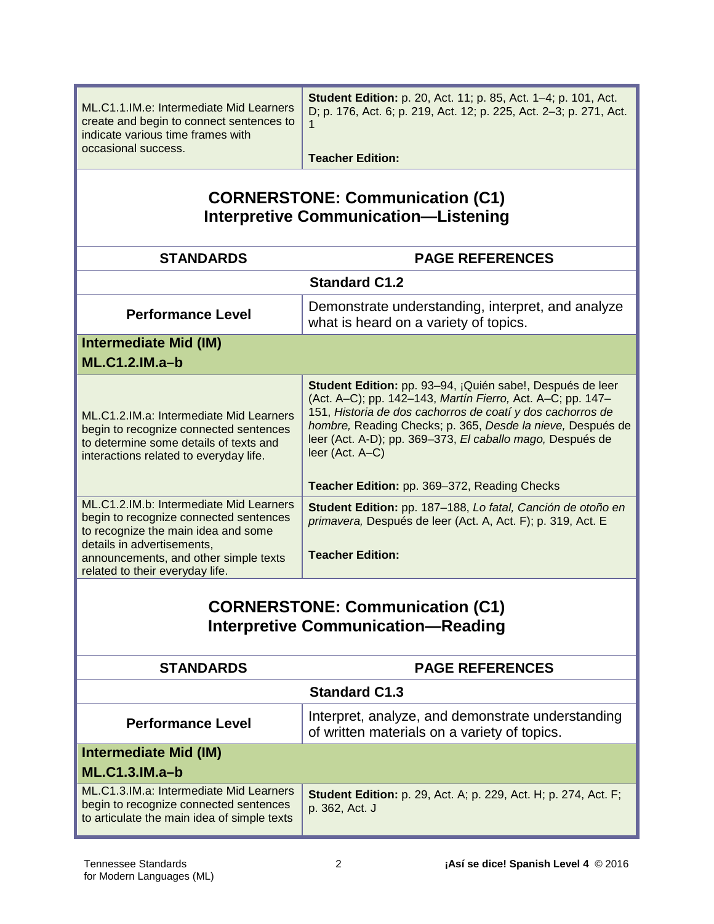| ML.C1.1.IM.e: Intermediate Mid Learners<br>create and begin to connect sentences to<br>indicate various time frames with<br>occasional success.                                                                                    | Student Edition: p. 20, Act. 11; p. 85, Act. 1-4; p. 101, Act.<br>D; p. 176, Act. 6; p. 219, Act. 12; p. 225, Act. 2-3; p. 271, Act.<br><b>Teacher Edition:</b>                                                                                                                                                                     |
|------------------------------------------------------------------------------------------------------------------------------------------------------------------------------------------------------------------------------------|-------------------------------------------------------------------------------------------------------------------------------------------------------------------------------------------------------------------------------------------------------------------------------------------------------------------------------------|
| <b>CORNERSTONE: Communication (C1)</b><br><b>Interpretive Communication-Listening</b>                                                                                                                                              |                                                                                                                                                                                                                                                                                                                                     |
| <b>STANDARDS</b>                                                                                                                                                                                                                   | <b>PAGE REFERENCES</b>                                                                                                                                                                                                                                                                                                              |
|                                                                                                                                                                                                                                    | <b>Standard C1.2</b>                                                                                                                                                                                                                                                                                                                |
| <b>Performance Level</b>                                                                                                                                                                                                           | Demonstrate understanding, interpret, and analyze<br>what is heard on a variety of topics.                                                                                                                                                                                                                                          |
| <b>Intermediate Mid (IM)</b><br><b>ML.C1.2.IM.a-b</b>                                                                                                                                                                              |                                                                                                                                                                                                                                                                                                                                     |
| ML.C1.2.IM.a: Intermediate Mid Learners<br>begin to recognize connected sentences<br>to determine some details of texts and<br>interactions related to everyday life.                                                              | Student Edition: pp. 93-94, ¡Quién sabe!, Después de leer<br>(Act. A-C); pp. 142-143, Martín Fierro, Act. A-C; pp. 147-<br>151, Historia de dos cachorros de coatí y dos cachorros de<br>hombre, Reading Checks; p. 365, Desde la nieve, Después de<br>leer (Act. A-D); pp. 369-373, El caballo mago, Después de<br>leer (Act. A-C) |
|                                                                                                                                                                                                                                    | Teacher Edition: pp. 369-372, Reading Checks                                                                                                                                                                                                                                                                                        |
| ML.C1.2.IM.b: Intermediate Mid Learners<br>begin to recognize connected sentences<br>to recognize the main idea and some<br>details in advertisements,<br>announcements, and other simple texts<br>related to their everyday life. | Student Edition: pp. 187-188, Lo fatal, Canción de otoño en<br>primavera, Después de leer (Act. A, Act. F); p. 319, Act. E<br><b>Teacher Edition:</b>                                                                                                                                                                               |
| <b>CORNERSTONE: Communication (C1)</b><br><b>Interpretive Communication-Reading</b>                                                                                                                                                |                                                                                                                                                                                                                                                                                                                                     |
| <b>STANDARDS</b>                                                                                                                                                                                                                   | <b>PAGE REFERENCES</b>                                                                                                                                                                                                                                                                                                              |
|                                                                                                                                                                                                                                    | <b>Standard C1.3</b>                                                                                                                                                                                                                                                                                                                |
| <b>Performance Level</b>                                                                                                                                                                                                           | Interpret, analyze, and demonstrate understanding<br>of written materials on a variety of topics.                                                                                                                                                                                                                                   |
| Intermediate Mid (IM)<br>ML.C1.3.IM.a-b                                                                                                                                                                                            |                                                                                                                                                                                                                                                                                                                                     |
| ML.C1.3.IM.a: Intermediate Mid Learners<br>begin to recognize connected sentences<br>to articulate the main idea of simple texts                                                                                                   | <b>Student Edition:</b> p. 29, Act. A; p. 229, Act. H; p. 274, Act. F;<br>p. 362, Act. J                                                                                                                                                                                                                                            |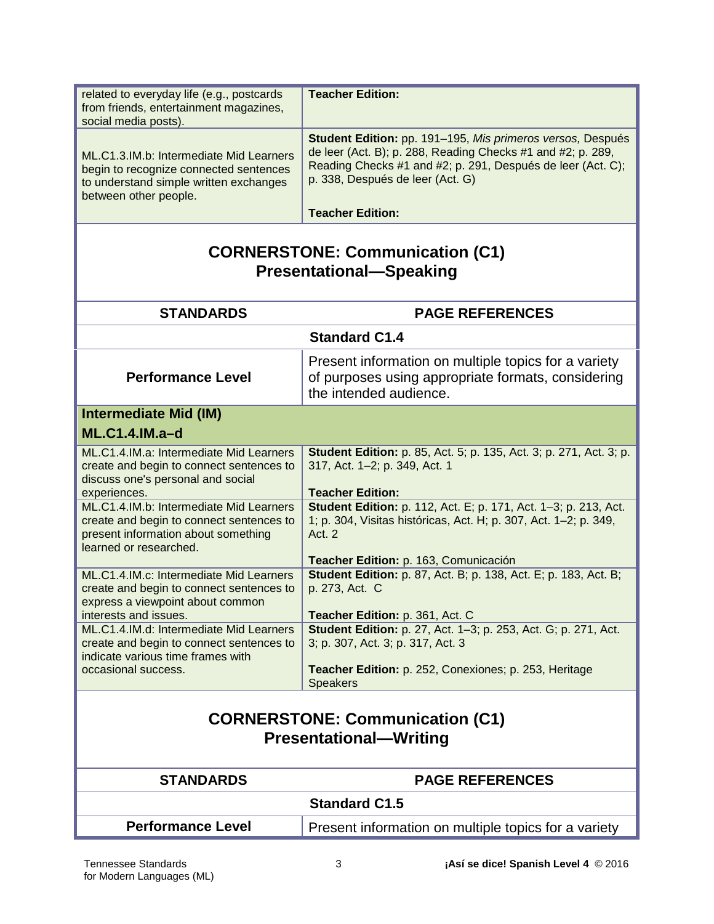| related to everyday life (e.g., postcards<br>from friends, entertainment magazines,<br>social media posts).                                          | <b>Teacher Edition:</b>                                                                                                                                                                                                                                 |
|------------------------------------------------------------------------------------------------------------------------------------------------------|---------------------------------------------------------------------------------------------------------------------------------------------------------------------------------------------------------------------------------------------------------|
| ML.C1.3.IM.b: Intermediate Mid Learners<br>begin to recognize connected sentences<br>to understand simple written exchanges<br>between other people. | Student Edition: pp. 191-195, Mis primeros versos, Después<br>de leer (Act. B); p. 288, Reading Checks #1 and #2; p. 289,<br>Reading Checks #1 and #2; p. 291, Después de leer (Act. C);<br>p. 338, Después de leer (Act. G)<br><b>Teacher Edition:</b> |
| <b>CORNERSTONE: Communication (C1)</b><br><b>Presentational-Speaking</b>                                                                             |                                                                                                                                                                                                                                                         |
| <b>STANDARDS</b>                                                                                                                                     | <b>PAGE REFERENCES</b>                                                                                                                                                                                                                                  |
|                                                                                                                                                      | <b>Standard C1.4</b>                                                                                                                                                                                                                                    |
| <b>Performance Level</b>                                                                                                                             | Present information on multiple topics for a variety<br>of purposes using appropriate formats, considering<br>the intended audience.                                                                                                                    |
| <b>Intermediate Mid (IM)</b>                                                                                                                         |                                                                                                                                                                                                                                                         |
| <b>ML.C1.4.IM.a-d</b>                                                                                                                                |                                                                                                                                                                                                                                                         |
| ML.C1.4.IM.a: Intermediate Mid Learners<br>create and begin to connect sentences to<br>discuss one's personal and social                             | <b>Student Edition:</b> p. 85, Act. 5; p. 135, Act. 3; p. 271, Act. 3; p.<br>317, Act. 1-2; p. 349, Act. 1                                                                                                                                              |
| experiences.<br>ML.C1.4.IM.b: Intermediate Mid Learners                                                                                              | <b>Teacher Edition:</b><br>Student Edition: p. 112, Act. E; p. 171, Act. 1-3; p. 213, Act.                                                                                                                                                              |
| create and begin to connect sentences to<br>present information about something<br>learned or researched.                                            | 1; p. 304, Visitas históricas, Act. H; p. 307, Act. 1-2; p. 349,<br>Act. 2                                                                                                                                                                              |
|                                                                                                                                                      | Teacher Edition: p. 163, Comunicación                                                                                                                                                                                                                   |
| ML.C1.4.IM.c: Intermediate Mid Learners<br>create and begin to connect sentences to<br>express a viewpoint about common                              | <b>Student Edition:</b> p. 87, Act. B; p. 138, Act. E; p. 183, Act. B;<br>p. 273, Act. C                                                                                                                                                                |
| interests and issues.                                                                                                                                | Teacher Edition: p. 361, Act. C                                                                                                                                                                                                                         |
| ML.C1.4.IM.d: Intermediate Mid Learners<br>create and begin to connect sentences to<br>indicate various time frames with                             | Student Edition: p. 27, Act. 1-3; p. 253, Act. G; p. 271, Act.<br>3; p. 307, Act. 3; p. 317, Act. 3                                                                                                                                                     |
| occasional success.                                                                                                                                  | Teacher Edition: p. 252, Conexiones; p. 253, Heritage<br><b>Speakers</b>                                                                                                                                                                                |
| <b>CORNERSTONE: Communication (C1)</b><br><b>Presentational-Writing</b>                                                                              |                                                                                                                                                                                                                                                         |
| <b>STANDARDS</b>                                                                                                                                     | <b>PAGE REFERENCES</b>                                                                                                                                                                                                                                  |
|                                                                                                                                                      | <b>Standard C1.5</b>                                                                                                                                                                                                                                    |
| <b>Performance Level</b>                                                                                                                             | Present information on multiple topics for a variety                                                                                                                                                                                                    |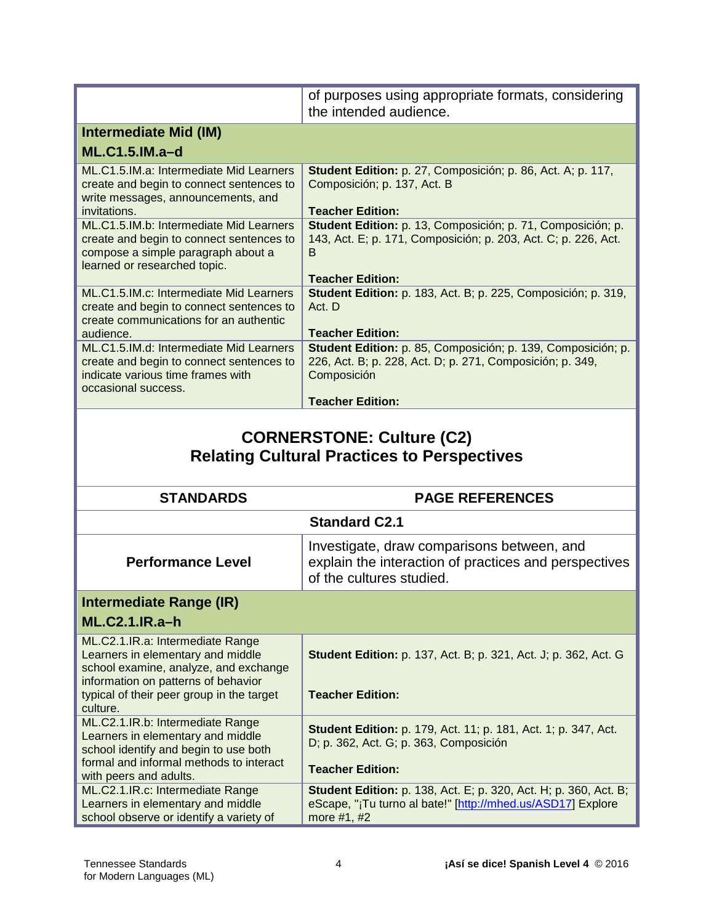|                                                                                                                                                           | of purposes using appropriate formats, considering<br>the intended audience.                                                             |
|-----------------------------------------------------------------------------------------------------------------------------------------------------------|------------------------------------------------------------------------------------------------------------------------------------------|
| <b>Intermediate Mid (IM)</b>                                                                                                                              |                                                                                                                                          |
| <b>ML.C1.5.IM.a-d</b>                                                                                                                                     |                                                                                                                                          |
| ML.C1.5.IM.a: Intermediate Mid Learners<br>create and begin to connect sentences to<br>write messages, announcements, and<br>invitations.                 | Student Edition: p. 27, Composición; p. 86, Act. A; p. 117,<br>Composición; p. 137, Act. B<br><b>Teacher Edition:</b>                    |
| ML.C1.5.IM.b: Intermediate Mid Learners<br>create and begin to connect sentences to<br>compose a simple paragraph about a<br>learned or researched topic. | Student Edition: p. 13, Composición; p. 71, Composición; p.<br>143, Act. E; p. 171, Composición; p. 203, Act. C; p. 226, Act.<br>В       |
| ML.C1.5.IM.c: Intermediate Mid Learners<br>create and begin to connect sentences to<br>create communications for an authentic                             | <b>Teacher Edition:</b><br>Student Edition: p. 183, Act. B; p. 225, Composición; p. 319,<br>Act. D                                       |
| audience.                                                                                                                                                 | <b>Teacher Edition:</b>                                                                                                                  |
| ML.C1.5.IM.d: Intermediate Mid Learners<br>create and begin to connect sentences to<br>indicate various time frames with<br>occasional success.           | Student Edition: p. 85, Composición; p. 139, Composición; p.<br>226, Act. B; p. 228, Act. D; p. 271, Composición; p. 349,<br>Composición |
|                                                                                                                                                           | <b>Teacher Edition:</b>                                                                                                                  |
|                                                                                                                                                           |                                                                                                                                          |
|                                                                                                                                                           | <b>CORNERSTONE: Culture (C2)</b><br><b>Relating Cultural Practices to Perspectives</b>                                                   |
| <b>STANDARDS</b>                                                                                                                                          | <b>PAGE REFERENCES</b>                                                                                                                   |
|                                                                                                                                                           | <b>Standard C2.1</b>                                                                                                                     |
| <b>Performance Level</b>                                                                                                                                  | Investigate, draw comparisons between, and<br>explain the interaction of practices and perspectives<br>of the cultures studied.          |
|                                                                                                                                                           |                                                                                                                                          |
| <b>Intermediate Range (IR)</b><br><b>ML.C2.1.IR.a-h</b>                                                                                                   |                                                                                                                                          |
| ML.C2.1.IR.a: Intermediate Range<br>Learners in elementary and middle<br>school examine, analyze, and exchange<br>information on patterns of behavior     | <b>Student Edition:</b> p. 137, Act. B; p. 321, Act. J; p. 362, Act. G                                                                   |
| typical of their peer group in the target<br>culture.                                                                                                     | <b>Teacher Edition:</b>                                                                                                                  |
| ML.C2.1.IR.b: Intermediate Range<br>Learners in elementary and middle<br>school identify and begin to use both<br>formal and informal methods to interact | <b>Student Edition:</b> p. 179, Act. 11; p. 181, Act. 1; p. 347, Act.<br>D; p. 362, Act. G; p. 363, Composición                          |
| with peers and adults.<br>ML.C2.1.IR.c: Intermediate Range                                                                                                | <b>Teacher Edition:</b><br><b>Student Edition:</b> p. 138, Act. E; p. 320, Act. H; p. 360, Act. B;                                       |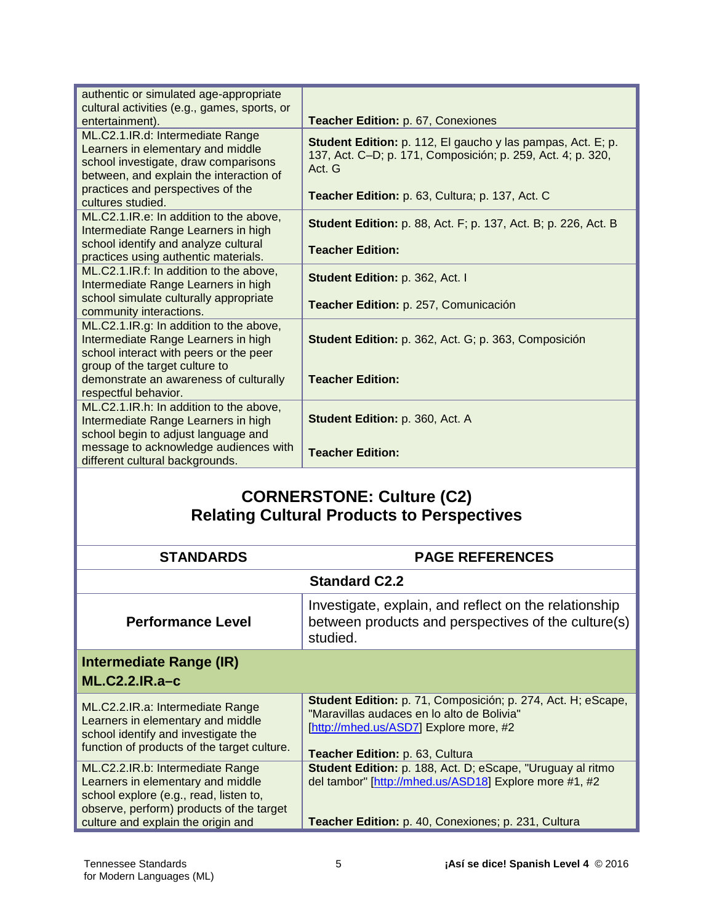| authentic or simulated age-appropriate                                                                                                                   |                                                                                                                                             |
|----------------------------------------------------------------------------------------------------------------------------------------------------------|---------------------------------------------------------------------------------------------------------------------------------------------|
| cultural activities (e.g., games, sports, or                                                                                                             |                                                                                                                                             |
| entertainment).                                                                                                                                          | Teacher Edition: p. 67, Conexiones                                                                                                          |
| ML.C2.1.IR.d: Intermediate Range<br>Learners in elementary and middle<br>school investigate, draw comparisons<br>between, and explain the interaction of | <b>Student Edition:</b> p. 112, El gaucho y las pampas, Act. E; p.<br>137, Act. C-D; p. 171, Composición; p. 259, Act. 4; p. 320,<br>Act. G |
| practices and perspectives of the<br>cultures studied.                                                                                                   | Teacher Edition: p. 63, Cultura; p. 137, Act. C.                                                                                            |
| ML.C2.1.IR.e: In addition to the above,<br>Intermediate Range Learners in high                                                                           | <b>Student Edition:</b> p. 88, Act. F; p. 137, Act. B; p. 226, Act. B                                                                       |
| school identify and analyze cultural<br>practices using authentic materials.                                                                             | <b>Teacher Edition:</b>                                                                                                                     |
| ML.C2.1.IR.f: In addition to the above,<br>Intermediate Range Learners in high                                                                           | Student Edition: p. 362, Act. I                                                                                                             |
| school simulate culturally appropriate<br>community interactions.                                                                                        | Teacher Edition: p. 257, Comunicación                                                                                                       |
| ML.C2.1.IR.g: In addition to the above,<br>Intermediate Range Learners in high<br>school interact with peers or the peer                                 | Student Edition: p. 362, Act. G; p. 363, Composición                                                                                        |
| group of the target culture to<br>demonstrate an awareness of culturally<br>respectful behavior.                                                         | <b>Teacher Edition:</b>                                                                                                                     |
| ML.C2.1.IR.h: In addition to the above,<br>Intermediate Range Learners in high<br>school begin to adjust language and                                    | Student Edition: p. 360, Act. A                                                                                                             |
| message to acknowledge audiences with<br>different cultural backgrounds.                                                                                 | <b>Teacher Edition:</b>                                                                                                                     |

## **CORNERSTONE: Culture (C2) Relating Cultural Products to Perspectives**

| <b>STANDARDS</b>                                                                                                                                                                                  | <b>PAGE REFERENCES</b>                                                                                                                                                                  |
|---------------------------------------------------------------------------------------------------------------------------------------------------------------------------------------------------|-----------------------------------------------------------------------------------------------------------------------------------------------------------------------------------------|
|                                                                                                                                                                                                   | <b>Standard C2.2</b>                                                                                                                                                                    |
| <b>Performance Level</b>                                                                                                                                                                          | Investigate, explain, and reflect on the relationship<br>between products and perspectives of the culture(s)<br>studied.                                                                |
| Intermediate Range (IR)<br>$ML.C2.2.IR.a-c$                                                                                                                                                       |                                                                                                                                                                                         |
| ML.C2.2.IR.a: Intermediate Range<br>Learners in elementary and middle<br>school identify and investigate the<br>function of products of the target culture.                                       | Student Edition: p. 71, Composición; p. 274, Act. H; eScape,<br>"Maravillas audaces en lo alto de Bolivia"<br>[http://mhed.us/ASD7] Explore more, #2<br>Teacher Edition: p. 63, Cultura |
| ML.C2.2.IR.b: Intermediate Range<br>Learners in elementary and middle<br>school explore (e.g., read, listen to,<br>observe, perform) products of the target<br>culture and explain the origin and | Student Edition: p. 188, Act. D; eScape, "Uruguay al ritmo<br>del tambor" [http://mhed.us/ASD18] Explore more #1, #2<br>Teacher Edition: p. 40, Conexiones; p. 231, Cultura             |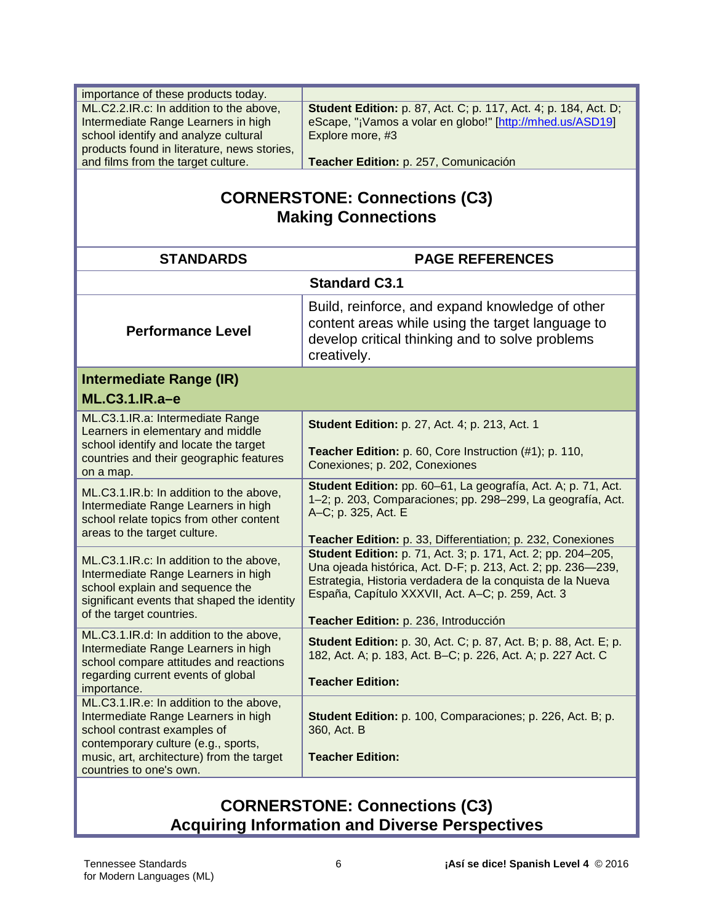| importance of these products today.                                                                                                                                                          |                                                                                                                                                                                                                                                        |
|----------------------------------------------------------------------------------------------------------------------------------------------------------------------------------------------|--------------------------------------------------------------------------------------------------------------------------------------------------------------------------------------------------------------------------------------------------------|
| ML.C2.2.IR.c: In addition to the above,                                                                                                                                                      | <b>Student Edition:</b> p. 87, Act. C; p. 117, Act. 4; p. 184, Act. D;                                                                                                                                                                                 |
| Intermediate Range Learners in high                                                                                                                                                          | eScape, "¡Vamos a volar en globo!" [http://mhed.us/ASD19]                                                                                                                                                                                              |
| school identify and analyze cultural                                                                                                                                                         | Explore more, #3                                                                                                                                                                                                                                       |
| products found in literature, news stories,                                                                                                                                                  |                                                                                                                                                                                                                                                        |
| and films from the target culture.                                                                                                                                                           | Teacher Edition: p. 257, Comunicación                                                                                                                                                                                                                  |
| <b>CORNERSTONE: Connections (C3)</b><br><b>Making Connections</b>                                                                                                                            |                                                                                                                                                                                                                                                        |
| <b>STANDARDS</b>                                                                                                                                                                             | <b>PAGE REFERENCES</b>                                                                                                                                                                                                                                 |
|                                                                                                                                                                                              | <b>Standard C3.1</b>                                                                                                                                                                                                                                   |
| <b>Performance Level</b>                                                                                                                                                                     | Build, reinforce, and expand knowledge of other<br>content areas while using the target language to<br>develop critical thinking and to solve problems<br>creatively.                                                                                  |
| Intermediate Range (IR)                                                                                                                                                                      |                                                                                                                                                                                                                                                        |
| ML.C3.1.IR.a-e                                                                                                                                                                               |                                                                                                                                                                                                                                                        |
| ML.C3.1.IR.a: Intermediate Range<br>Learners in elementary and middle<br>school identify and locate the target                                                                               | <b>Student Edition: p. 27, Act. 4; p. 213, Act. 1</b>                                                                                                                                                                                                  |
| countries and their geographic features<br>on a map.                                                                                                                                         | Teacher Edition: p. 60, Core Instruction (#1); p. 110,<br>Conexiones; p. 202, Conexiones                                                                                                                                                               |
| ML.C3.1.IR.b: In addition to the above,<br>Intermediate Range Learners in high<br>school relate topics from other content<br>areas to the target culture.                                    | Student Edition: pp. 60-61, La geografía, Act. A; p. 71, Act.<br>1-2; p. 203, Comparaciones; pp. 298-299, La geografía, Act.<br>A-C; p. 325, Act. E<br>Teacher Edition: p. 33, Differentiation; p. 232, Conexiones                                     |
| ML.C3.1.IR.c: In addition to the above,<br>Intermediate Range Learners in high<br>school explain and sequence the<br>significant events that shaped the identity<br>of the target countries. | <b>Student Edition:</b> p. 71, Act. 3; p. 171, Act. 2; pp. 204-205,<br>Una ojeada histórica, Act. D-F; p. 213, Act. 2; pp. 236-239,<br>Estrategia, Historia verdadera de la conquista de la Nueva<br>España, Capítulo XXXVII, Act. A-C; p. 259, Act. 3 |
|                                                                                                                                                                                              | Teacher Edition: p. 236, Introducción                                                                                                                                                                                                                  |
| ML.C3.1.IR.d: In addition to the above,<br>Intermediate Range Learners in high<br>school compare attitudes and reactions<br>regarding current events of global                               | <b>Student Edition:</b> p. 30, Act. C; p. 87, Act. B; p. 88, Act. E; p.<br>182, Act. A; p. 183, Act. B-C; p. 226, Act. A; p. 227 Act. C<br><b>Teacher Edition:</b>                                                                                     |
| importance.                                                                                                                                                                                  |                                                                                                                                                                                                                                                        |
| ML.C3.1.IR.e: In addition to the above,<br>Intermediate Range Learners in high<br>school contrast examples of<br>contemporary culture (e.g., sports,                                         | Student Edition: p. 100, Comparaciones; p. 226, Act. B; p.<br>360, Act. B                                                                                                                                                                              |
| music, art, architecture) from the target<br>countries to one's own.                                                                                                                         | <b>Teacher Edition:</b>                                                                                                                                                                                                                                |

#### **CORNERSTONE: Connections (C3) Acquiring Information and Diverse Perspectives**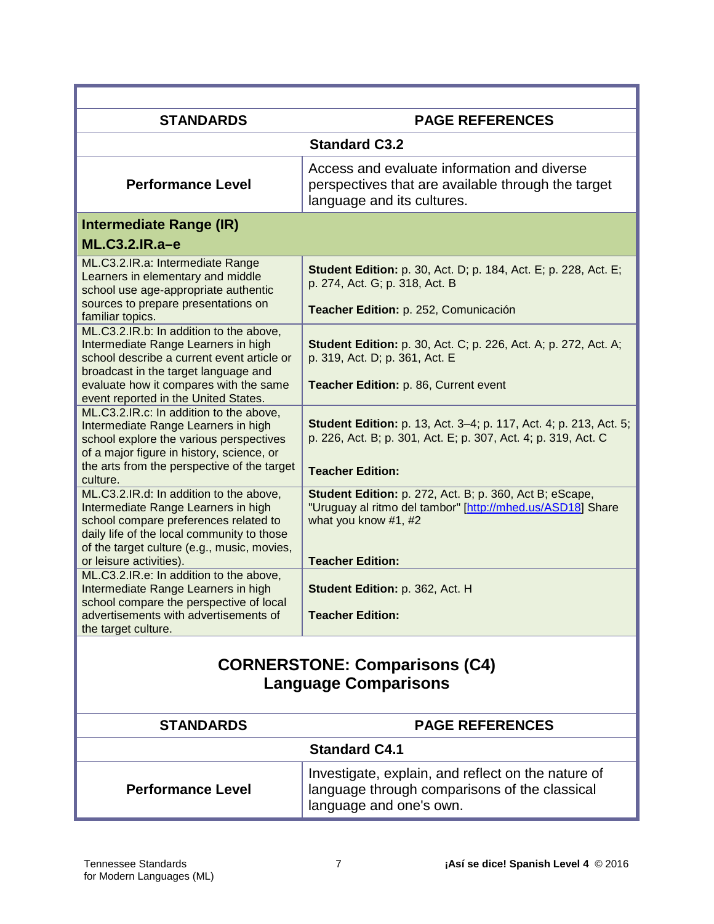| <b>STANDARDS</b>                                                                                                                                                                                                                                | <b>PAGE REFERENCES</b>                                                                                                                                                   |
|-------------------------------------------------------------------------------------------------------------------------------------------------------------------------------------------------------------------------------------------------|--------------------------------------------------------------------------------------------------------------------------------------------------------------------------|
|                                                                                                                                                                                                                                                 | <b>Standard C3.2</b>                                                                                                                                                     |
| <b>Performance Level</b>                                                                                                                                                                                                                        | Access and evaluate information and diverse<br>perspectives that are available through the target<br>language and its cultures.                                          |
| Intermediate Range (IR)                                                                                                                                                                                                                         |                                                                                                                                                                          |
| ML.C3.2.IR.a-e                                                                                                                                                                                                                                  |                                                                                                                                                                          |
| ML.C3.2.IR.a: Intermediate Range<br>Learners in elementary and middle<br>school use age-appropriate authentic                                                                                                                                   | <b>Student Edition:</b> p. 30, Act. D; p. 184, Act. E; p. 228, Act. E;<br>p. 274, Act. G; p. 318, Act. B                                                                 |
| sources to prepare presentations on<br>familiar topics.                                                                                                                                                                                         | Teacher Edition: p. 252, Comunicación                                                                                                                                    |
| ML.C3.2.IR.b: In addition to the above,<br>Intermediate Range Learners in high<br>school describe a current event article or<br>broadcast in the target language and                                                                            | Student Edition: p. 30, Act. C; p. 226, Act. A; p. 272, Act. A;<br>p. 319, Act. D; p. 361, Act. E                                                                        |
| evaluate how it compares with the same<br>event reported in the United States.                                                                                                                                                                  | Teacher Edition: p. 86, Current event                                                                                                                                    |
| ML.C3.2.IR.c: In addition to the above,<br>Intermediate Range Learners in high<br>school explore the various perspectives<br>of a major figure in history, science, or<br>the arts from the perspective of the target                           | <b>Student Edition:</b> p. 13, Act. 3–4; p. 117, Act. 4; p. 213, Act. 5;<br>p. 226, Act. B; p. 301, Act. E; p. 307, Act. 4; p. 319, Act. C                               |
| culture.                                                                                                                                                                                                                                        | <b>Teacher Edition:</b>                                                                                                                                                  |
| ML.C3.2.IR.d: In addition to the above,<br>Intermediate Range Learners in high<br>school compare preferences related to<br>daily life of the local community to those<br>of the target culture (e.g., music, movies,<br>or leisure activities). | Student Edition: p. 272, Act. B; p. 360, Act B; eScape,<br>"Uruguay al ritmo del tambor" [http://mhed.us/ASD18] Share<br>what you know #1, #2<br><b>Teacher Edition:</b> |
| ML.C3.2.IR.e: In addition to the above,<br>Intermediate Range Learners in high<br>school compare the perspective of local                                                                                                                       | Student Edition: p. 362, Act. H                                                                                                                                          |
| advertisements with advertisements of<br>the target culture.                                                                                                                                                                                    | <b>Teacher Edition:</b>                                                                                                                                                  |
| <b>CORNERSTONE: Comparisons (C4)</b><br><b>Language Comparisons</b>                                                                                                                                                                             |                                                                                                                                                                          |
| <b>STANDARDS</b>                                                                                                                                                                                                                                | <b>PAGE REFERENCES</b>                                                                                                                                                   |

| <b>SIANDARDS</b>         | PAGE REFERENCES                                                                                                                |
|--------------------------|--------------------------------------------------------------------------------------------------------------------------------|
| <b>Standard C4.1</b>     |                                                                                                                                |
| <b>Performance Level</b> | Investigate, explain, and reflect on the nature of<br>language through comparisons of the classical<br>language and one's own. |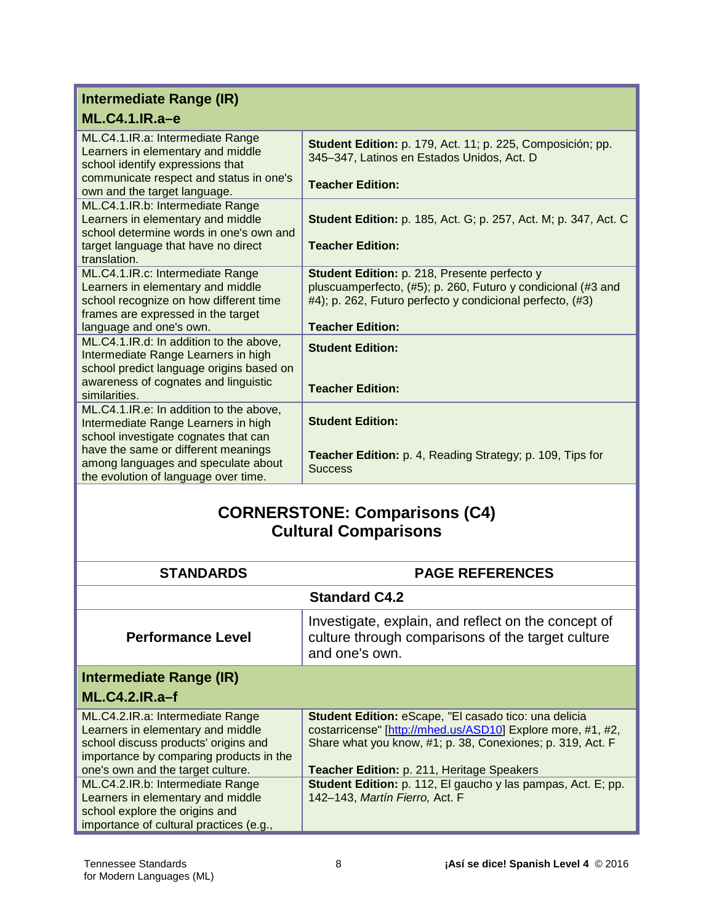| Intermediate Range (IR)                                                                                                                                    |                                                                                                                                                                           |
|------------------------------------------------------------------------------------------------------------------------------------------------------------|---------------------------------------------------------------------------------------------------------------------------------------------------------------------------|
| $ML.C4.1.IR.a-e$                                                                                                                                           |                                                                                                                                                                           |
| ML.C4.1.IR.a: Intermediate Range<br>Learners in elementary and middle<br>school identify expressions that                                                  | Student Edition: p. 179, Act. 11; p. 225, Composición; pp.<br>345-347, Latinos en Estados Unidos, Act. D                                                                  |
| communicate respect and status in one's<br>own and the target language.                                                                                    | <b>Teacher Edition:</b>                                                                                                                                                   |
| ML.C4.1.IR.b: Intermediate Range<br>Learners in elementary and middle<br>school determine words in one's own and                                           | <b>Student Edition:</b> p. 185, Act. G; p. 257, Act. M; p. 347, Act. C                                                                                                    |
| target language that have no direct<br>translation.                                                                                                        | <b>Teacher Edition:</b>                                                                                                                                                   |
| ML.C4.1.IR.c: Intermediate Range<br>Learners in elementary and middle<br>school recognize on how different time<br>frames are expressed in the target      | Student Edition: p. 218, Presente perfecto y<br>pluscuamperfecto, (#5); p. 260, Futuro y condicional (#3 and<br>#4); p. 262, Futuro perfecto y condicional perfecto, (#3) |
| language and one's own.                                                                                                                                    | <b>Teacher Edition:</b>                                                                                                                                                   |
| ML.C4.1.IR.d: In addition to the above,<br>Intermediate Range Learners in high<br>school predict language origins based on                                 | <b>Student Edition:</b>                                                                                                                                                   |
| awareness of cognates and linguistic<br>similarities.                                                                                                      | <b>Teacher Edition:</b>                                                                                                                                                   |
| ML.C4.1.IR.e: In addition to the above,<br>Intermediate Range Learners in high                                                                             | <b>Student Edition:</b>                                                                                                                                                   |
| school investigate cognates that can<br>have the same or different meanings<br>among languages and speculate about<br>the evolution of language over time. | Teacher Edition: p. 4, Reading Strategy; p. 109, Tips for<br><b>Success</b>                                                                                               |

## **CORNERSTONE: Comparisons (C4) Cultural Comparisons**

| <b>STANDARDS</b>                                                                                                                                         | <b>PAGE REFERENCES</b>                                                                                                                                                                    |
|----------------------------------------------------------------------------------------------------------------------------------------------------------|-------------------------------------------------------------------------------------------------------------------------------------------------------------------------------------------|
|                                                                                                                                                          | <b>Standard C4.2</b>                                                                                                                                                                      |
| <b>Performance Level</b>                                                                                                                                 | Investigate, explain, and reflect on the concept of<br>culture through comparisons of the target culture<br>and one's own.                                                                |
| Intermediate Range (IR)<br>$ML.C4.2.IR.a-f$                                                                                                              |                                                                                                                                                                                           |
|                                                                                                                                                          |                                                                                                                                                                                           |
| ML.C4.2.IR.a: Intermediate Range<br>Learners in elementary and middle<br>school discuss products' origins and<br>importance by comparing products in the | <b>Student Edition: eScape, "El casado tico: una delicia</b><br>costarricense" [http://mhed.us/ASD10] Explore more, #1, #2,<br>Share what you know, #1; p. 38, Conexiones; p. 319, Act. F |
| one's own and the target culture.                                                                                                                        | Teacher Edition: p. 211, Heritage Speakers                                                                                                                                                |
| ML.C4.2.IR.b: Intermediate Range<br>Learners in elementary and middle<br>school explore the origins and<br>importance of cultural practices (e.g.,       | Student Edition: p. 112, El gaucho y las pampas, Act. E; pp.<br>142-143, Martín Fierro, Act. F                                                                                            |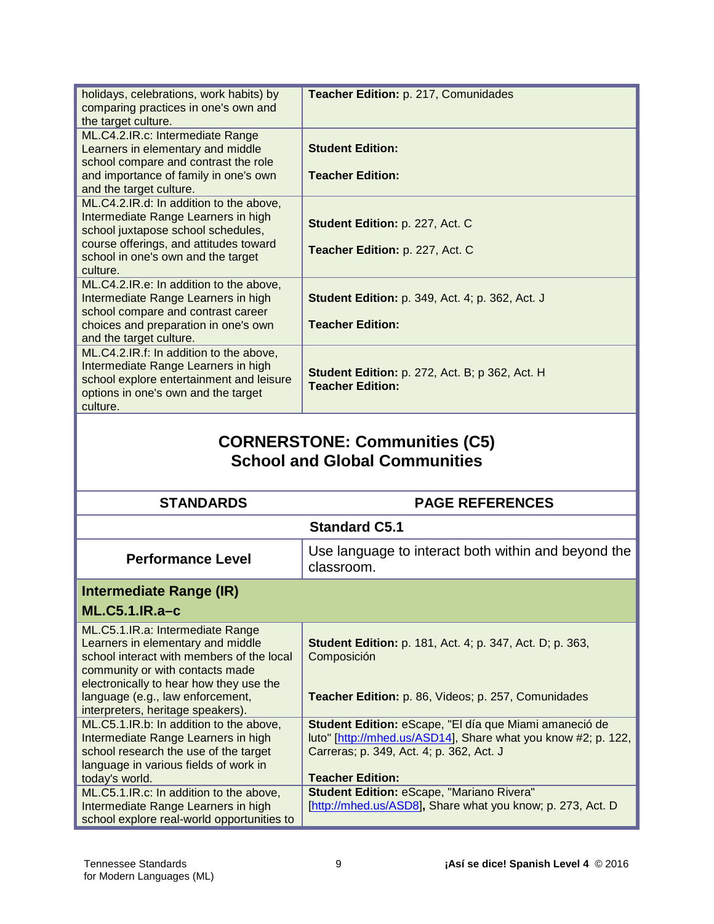| holidays, celebrations, work habits) by<br>comparing practices in one's own and<br>the target culture.                                                                                  | Teacher Edition: p. 217, Comunidades                                              |
|-----------------------------------------------------------------------------------------------------------------------------------------------------------------------------------------|-----------------------------------------------------------------------------------|
| ML.C4.2.IR.c: Intermediate Range<br>Learners in elementary and middle<br>school compare and contrast the role<br>and importance of family in one's own<br>and the target culture.       | <b>Student Edition:</b><br><b>Teacher Edition:</b>                                |
| ML.C4.2.IR.d: In addition to the above,<br>Intermediate Range Learners in high<br>school juxtapose school schedules,                                                                    | Student Edition: p. 227, Act. C                                                   |
| course offerings, and attitudes toward<br>school in one's own and the target<br>culture.                                                                                                | Teacher Edition: p. 227, Act. C                                                   |
| ML.C4.2.IR.e: In addition to the above,<br>Intermediate Range Learners in high<br>school compare and contrast career<br>choices and preparation in one's own<br>and the target culture. | <b>Student Edition: p. 349, Act. 4; p. 362, Act. J</b><br><b>Teacher Edition:</b> |
| ML.C4.2.IR.f: In addition to the above,<br>Intermediate Range Learners in high<br>school explore entertainment and leisure<br>options in one's own and the target<br>culture.           | <b>Student Edition:</b> p. 272, Act. B; p 362, Act. H<br><b>Teacher Edition:</b>  |
| <b>CORNERSTONE: Communities (C5)</b><br><b>School and Global Communities</b>                                                                                                            |                                                                                   |

| <b>STANDARDS</b>                                                                                                                                                                                                                                                          | <b>PAGE REFERENCES</b>                                                                                                                                                                         |
|---------------------------------------------------------------------------------------------------------------------------------------------------------------------------------------------------------------------------------------------------------------------------|------------------------------------------------------------------------------------------------------------------------------------------------------------------------------------------------|
|                                                                                                                                                                                                                                                                           | <b>Standard C5.1</b>                                                                                                                                                                           |
| <b>Performance Level</b>                                                                                                                                                                                                                                                  | Use language to interact both within and beyond the<br>classroom.                                                                                                                              |
| Intermediate Range (IR)                                                                                                                                                                                                                                                   |                                                                                                                                                                                                |
| $ML.C5.1.IR.a-c$                                                                                                                                                                                                                                                          |                                                                                                                                                                                                |
| ML.C5.1.IR.a: Intermediate Range<br>Learners in elementary and middle<br>school interact with members of the local<br>community or with contacts made<br>electronically to hear how they use the<br>language (e.g., law enforcement,<br>interpreters, heritage speakers). | <b>Student Edition:</b> p. 181, Act. 4; p. 347, Act. D; p. 363,<br>Composición<br>Teacher Edition: p. 86, Videos; p. 257, Comunidades                                                          |
| ML.C5.1.IR.b: In addition to the above,<br>Intermediate Range Learners in high<br>school research the use of the target<br>language in various fields of work in<br>today's world.                                                                                        | Student Edition: eScape, "El día que Miami amaneció de<br>luto" [http://mhed.us/ASD14], Share what you know #2; p. 122,<br>Carreras; p. 349, Act. 4; p. 362, Act. J<br><b>Teacher Edition:</b> |
| ML.C5.1.IR.c: In addition to the above,<br>Intermediate Range Learners in high<br>school explore real-world opportunities to                                                                                                                                              | <b>Student Edition: eScape, "Mariano Rivera"</b><br>[http://mhed.us/ASD8], Share what you know; p. 273, Act. D                                                                                 |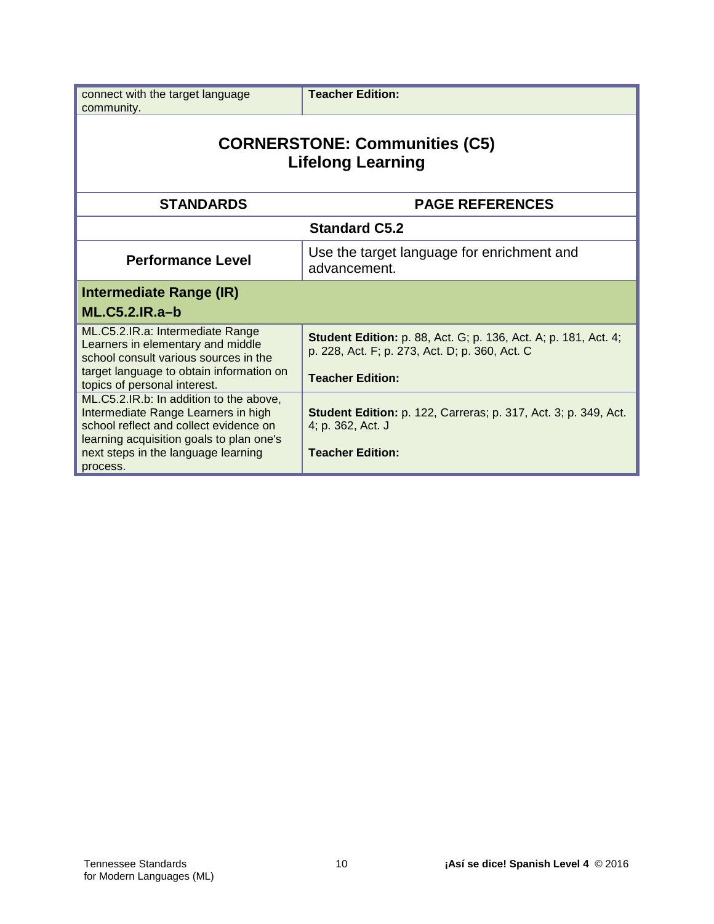| connect with the target language<br>community.                                                                                                                       | <b>Teacher Edition:</b>                                                                                                  |
|----------------------------------------------------------------------------------------------------------------------------------------------------------------------|--------------------------------------------------------------------------------------------------------------------------|
| <b>CORNERSTONE: Communities (C5)</b><br><b>Lifelong Learning</b>                                                                                                     |                                                                                                                          |
| <b>STANDARDS</b>                                                                                                                                                     | <b>PAGE REFERENCES</b>                                                                                                   |
| <b>Standard C5.2</b>                                                                                                                                                 |                                                                                                                          |
| <b>Performance Level</b>                                                                                                                                             | Use the target language for enrichment and<br>advancement.                                                               |
| Intermediate Range (IR)<br>$ML.C5.2.IR.a-b$                                                                                                                          |                                                                                                                          |
| ML.C5.2.IR.a: Intermediate Range<br>Learners in elementary and middle<br>school consult various sources in the                                                       | <b>Student Edition:</b> p. 88, Act. G; p. 136, Act. A; p. 181, Act. 4;<br>p. 228, Act. F; p. 273, Act. D; p. 360, Act. C |
| target language to obtain information on<br>topics of personal interest.                                                                                             | <b>Teacher Edition:</b>                                                                                                  |
| ML.C5.2.IR.b: In addition to the above,<br>Intermediate Range Learners in high<br>school reflect and collect evidence on<br>learning acquisition goals to plan one's | <b>Student Edition:</b> p. 122, Carreras; p. 317, Act. 3; p. 349, Act.<br>4; p. 362, Act. J                              |
| next steps in the language learning<br>process.                                                                                                                      | <b>Teacher Edition:</b>                                                                                                  |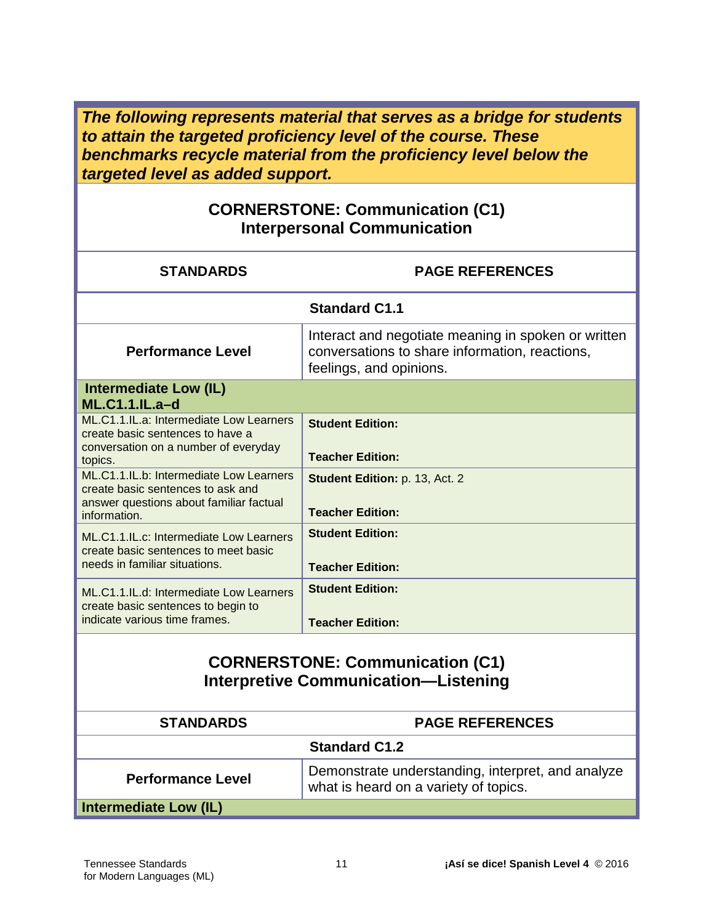*The following represents material that serves as a bridge for students to attain the targeted proficiency level of the course. These benchmarks recycle material from the proficiency level below the targeted level as added support.*

#### **CORNERSTONE: Communication (C1) Interpersonal Communication**

| <b>STANDARDS</b>                                                                                                                        | <b>PAGE REFERENCES</b>                                                                                                           |
|-----------------------------------------------------------------------------------------------------------------------------------------|----------------------------------------------------------------------------------------------------------------------------------|
|                                                                                                                                         | <b>Standard C1.1</b>                                                                                                             |
| <b>Performance Level</b>                                                                                                                | Interact and negotiate meaning in spoken or written<br>conversations to share information, reactions,<br>feelings, and opinions. |
| <b>Intermediate Low (IL)</b><br><b>ML.C1.1.IL.a-d</b>                                                                                   |                                                                                                                                  |
| ML.C1.1.IL.a: Intermediate Low Learners<br>create basic sentences to have a<br>conversation on a number of everyday<br>topics.          | <b>Student Edition:</b><br><b>Teacher Edition:</b>                                                                               |
| ML.C1.1.IL.b: Intermediate Low Learners<br>create basic sentences to ask and<br>answer questions about familiar factual<br>information. | Student Edition: p. 13, Act. 2<br><b>Teacher Edition:</b>                                                                        |
| ML.C1.1.IL.c: Intermediate Low Learners<br>create basic sentences to meet basic<br>needs in familiar situations.                        | <b>Student Edition:</b><br><b>Teacher Edition:</b>                                                                               |
| ML.C1.1.IL.d: Intermediate Low Learners<br>create basic sentences to begin to<br>indicate various time frames.                          | <b>Student Edition:</b><br><b>Teacher Edition:</b>                                                                               |
| <b>CORNERSTONE: Communication (C1)</b><br><b>Interpretive Communication-Listening</b>                                                   |                                                                                                                                  |
| <b>STANDARDS</b>                                                                                                                        | <b>PAGE REFERENCES</b>                                                                                                           |

|                          | <b>Standard C1.2</b>                                                                       |
|--------------------------|--------------------------------------------------------------------------------------------|
| <b>Performance Level</b> | Demonstrate understanding, interpret, and analyze<br>what is heard on a variety of topics. |
| Intermediate Low (IL)    |                                                                                            |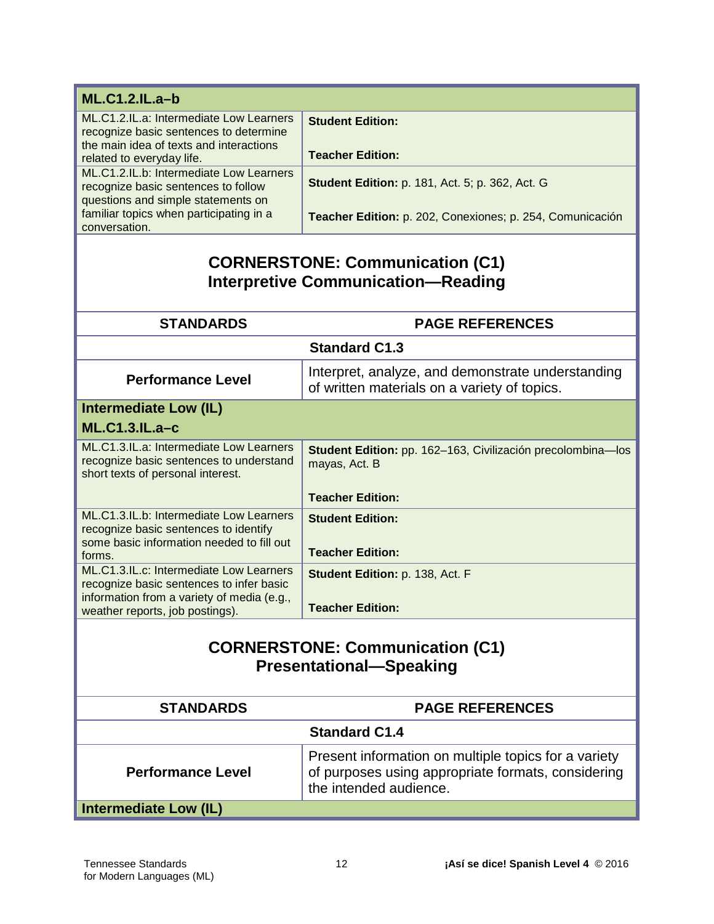| <b>ML.C1.2.IL.a-b</b>                                                                                                                                     |                                                                                                                                      |  |
|-----------------------------------------------------------------------------------------------------------------------------------------------------------|--------------------------------------------------------------------------------------------------------------------------------------|--|
| ML.C1.2.IL.a: Intermediate Low Learners<br>recognize basic sentences to determine<br>the main idea of texts and interactions<br>related to everyday life. | <b>Student Edition:</b><br><b>Teacher Edition:</b>                                                                                   |  |
| ML.C1.2.IL.b: Intermediate Low Learners<br>recognize basic sentences to follow<br>questions and simple statements on                                      | <b>Student Edition: p. 181, Act. 5; p. 362, Act. G</b>                                                                               |  |
| familiar topics when participating in a<br>conversation.                                                                                                  | Teacher Edition: p. 202, Conexiones; p. 254, Comunicación                                                                            |  |
|                                                                                                                                                           | <b>CORNERSTONE: Communication (C1)</b>                                                                                               |  |
|                                                                                                                                                           | <b>Interpretive Communication-Reading</b>                                                                                            |  |
| <b>STANDARDS</b><br><b>PAGE REFERENCES</b>                                                                                                                |                                                                                                                                      |  |
|                                                                                                                                                           |                                                                                                                                      |  |
|                                                                                                                                                           | <b>Standard C1.3</b>                                                                                                                 |  |
| <b>Performance Level</b>                                                                                                                                  | Interpret, analyze, and demonstrate understanding<br>of written materials on a variety of topics.                                    |  |
| <b>Intermediate Low (IL)</b>                                                                                                                              |                                                                                                                                      |  |
| <b>ML.C1.3.IL.a-c</b>                                                                                                                                     |                                                                                                                                      |  |
| ML.C1.3.IL.a: Intermediate Low Learners<br>recognize basic sentences to understand<br>short texts of personal interest.                                   | Student Edition: pp. 162-163, Civilización precolombina-los<br>mayas, Act. B                                                         |  |
|                                                                                                                                                           | <b>Teacher Edition:</b>                                                                                                              |  |
| ML.C1.3.IL.b: Intermediate Low Learners<br>recognize basic sentences to identify<br>some basic information needed to fill out<br>forms.                   | <b>Student Edition:</b><br><b>Teacher Edition:</b>                                                                                   |  |
| ML.C1.3.IL.c: Intermediate Low Learners<br>recognize basic sentences to infer basic                                                                       | Student Edition: p. 138, Act. F                                                                                                      |  |
| information from a variety of media (e.g.,<br>weather reports, job postings).                                                                             | <b>Teacher Edition:</b>                                                                                                              |  |
| <b>CORNERSTONE: Communication (C1)</b><br><b>Presentational-Speaking</b>                                                                                  |                                                                                                                                      |  |
| <b>STANDARDS</b>                                                                                                                                          | <b>PAGE REFERENCES</b>                                                                                                               |  |
|                                                                                                                                                           | <b>Standard C1.4</b>                                                                                                                 |  |
| <b>Performance Level</b>                                                                                                                                  | Present information on multiple topics for a variety<br>of purposes using appropriate formats, considering<br>the intended audience. |  |
| <b>Intermediate Low (IL)</b>                                                                                                                              |                                                                                                                                      |  |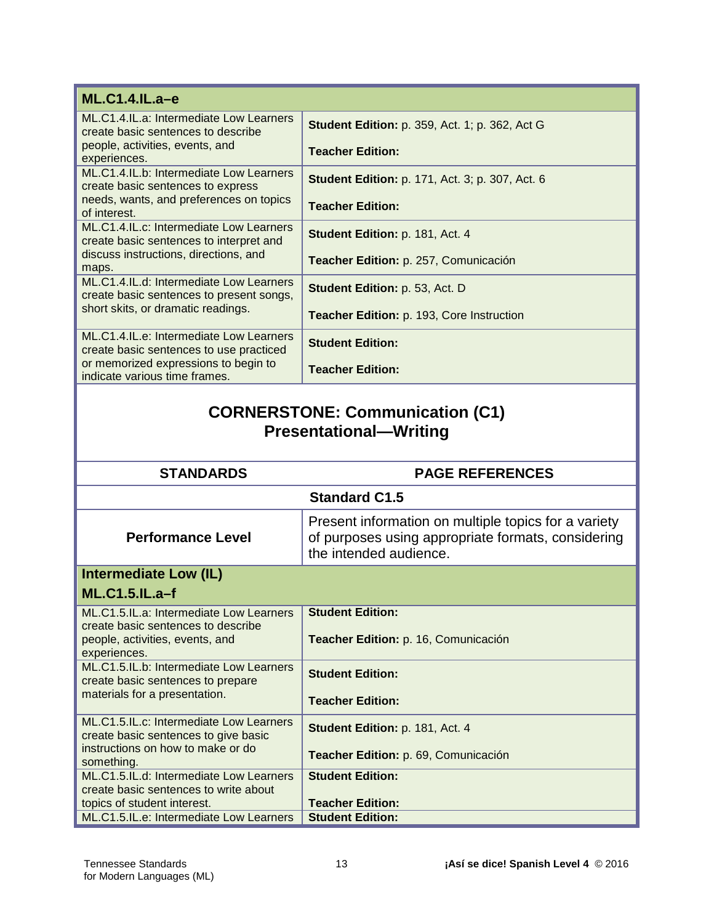| <b>ML.C1.4.IL.a-e</b>                                                                 |                                                                                                                                      |
|---------------------------------------------------------------------------------------|--------------------------------------------------------------------------------------------------------------------------------------|
| ML.C1.4.IL.a: Intermediate Low Learners<br>create basic sentences to describe         | <b>Student Edition: p. 359, Act. 1; p. 362, Act G</b>                                                                                |
| people, activities, events, and<br>experiences.                                       | <b>Teacher Edition:</b>                                                                                                              |
| ML.C1.4.IL.b: Intermediate Low Learners<br>create basic sentences to express          | <b>Student Edition: p. 171, Act. 3; p. 307, Act. 6</b>                                                                               |
| needs, wants, and preferences on topics<br>of interest.                               | <b>Teacher Edition:</b>                                                                                                              |
| ML.C1.4.IL.c: Intermediate Low Learners<br>create basic sentences to interpret and    | Student Edition: p. 181, Act. 4                                                                                                      |
| discuss instructions, directions, and<br>maps.                                        | Teacher Edition: p. 257, Comunicación                                                                                                |
| ML.C1.4.IL.d: Intermediate Low Learners<br>create basic sentences to present songs,   | <b>Student Edition: p. 53, Act. D</b>                                                                                                |
| short skits, or dramatic readings.                                                    | Teacher Edition: p. 193, Core Instruction                                                                                            |
| ML.C1.4.IL.e: Intermediate Low Learners<br>create basic sentences to use practiced    | <b>Student Edition:</b>                                                                                                              |
| or memorized expressions to begin to<br>indicate various time frames.                 | <b>Teacher Edition:</b>                                                                                                              |
|                                                                                       | <b>CORNERSTONE: Communication (C1)</b>                                                                                               |
|                                                                                       | <b>Presentational-Writing</b>                                                                                                        |
| <b>STANDARDS</b>                                                                      | <b>PAGE REFERENCES</b>                                                                                                               |
|                                                                                       | <b>Standard C1.5</b>                                                                                                                 |
| <b>Performance Level</b>                                                              | Present information on multiple topics for a variety<br>of purposes using appropriate formats, considering<br>the intended audience. |
| <b>Intermediate Low (IL)</b>                                                          |                                                                                                                                      |
| <b>ML.C1.5.IL.a-f</b>                                                                 |                                                                                                                                      |
| ML.C1.5.IL.a: Intermediate Low Learners                                               | <b>Student Edition:</b>                                                                                                              |
| create basic sentences to describe<br>people, activities, events, and<br>experiences. | Teacher Edition: p. 16, Comunicación                                                                                                 |
| ML.C1.5.IL.b: Intermediate Low Learners<br>create basic sentences to prepare          | <b>Student Edition:</b>                                                                                                              |
| materials for a presentation.                                                         | <b>Teacher Edition:</b>                                                                                                              |
| ML.C1.5.IL.c: Intermediate Low Learners<br>create basic sentences to give basic       | Student Edition: p. 181, Act. 4                                                                                                      |
| instructions on how to make or do<br>something.                                       | Teacher Edition: p. 69, Comunicación<br><b>Student Edition:</b>                                                                      |

topics of student interest.

ML.C1.5.IL.e: Intermediate Low Learners

**Teacher Edition:**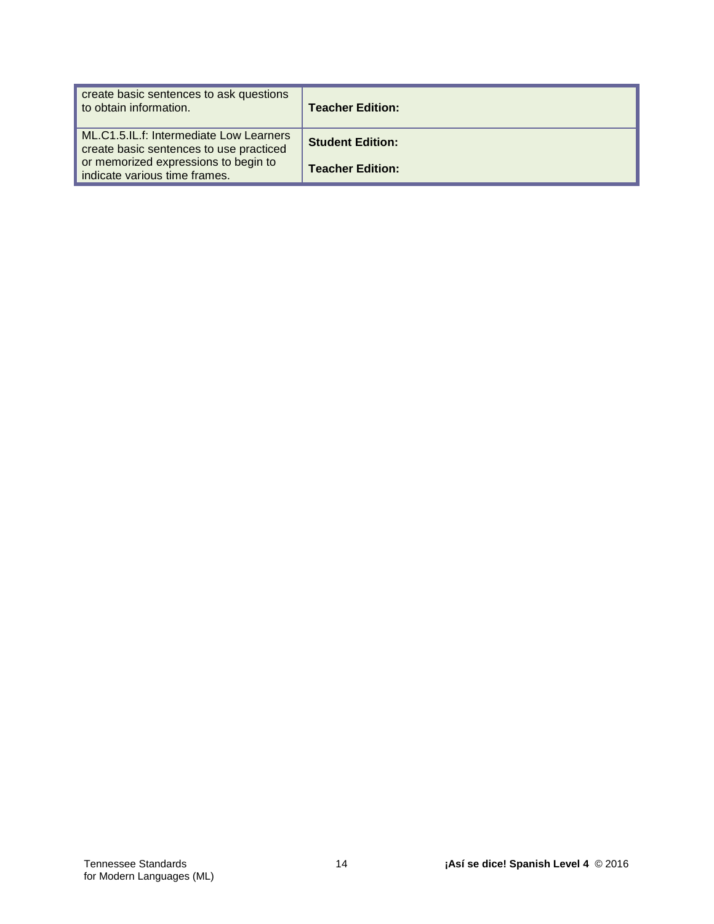| create basic sentences to ask questions<br>to obtain information.                  | <b>Teacher Edition:</b> |
|------------------------------------------------------------------------------------|-------------------------|
| ML.C1.5.IL.f: Intermediate Low Learners<br>create basic sentences to use practiced | <b>Student Edition:</b> |
| or memorized expressions to begin to<br>indicate various time frames.              | <b>Teacher Edition:</b> |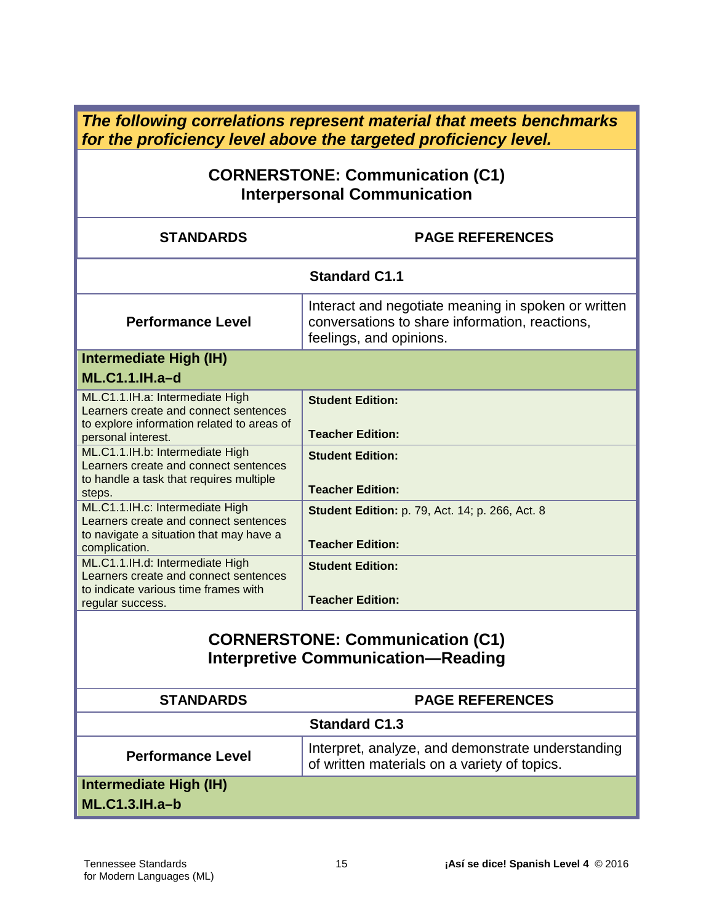*The following correlations represent material that meets benchmarks for the proficiency level above the targeted proficiency level.*

#### **CORNERSTONE: Communication (C1) Interpersonal Communication**

| <b>PAGE REFERENCES</b>                                                                                                           |  |
|----------------------------------------------------------------------------------------------------------------------------------|--|
| <b>Standard C1.1</b>                                                                                                             |  |
| Interact and negotiate meaning in spoken or written<br>conversations to share information, reactions,<br>feelings, and opinions. |  |
|                                                                                                                                  |  |
|                                                                                                                                  |  |
| <b>Student Edition:</b><br><b>Teacher Edition:</b><br><b>Student Edition:</b>                                                    |  |
| <b>Teacher Edition:</b>                                                                                                          |  |
| <b>Student Edition: p. 79, Act. 14; p. 266, Act. 8</b><br><b>Teacher Edition:</b>                                                |  |
| <b>Student Edition:</b><br><b>Teacher Edition:</b>                                                                               |  |
|                                                                                                                                  |  |

#### **CORNERSTONE: Communication (C1) Interpretive Communication—Reading**

| <b>STANDARDS</b>                          | <b>PAGE REFERENCES</b>                                                                            |
|-------------------------------------------|---------------------------------------------------------------------------------------------------|
| <b>Standard C1.3</b>                      |                                                                                                   |
| <b>Performance Level</b>                  | Interpret, analyze, and demonstrate understanding<br>of written materials on a variety of topics. |
| Intermediate High (IH)<br>$ML.C1.3.H.a-b$ |                                                                                                   |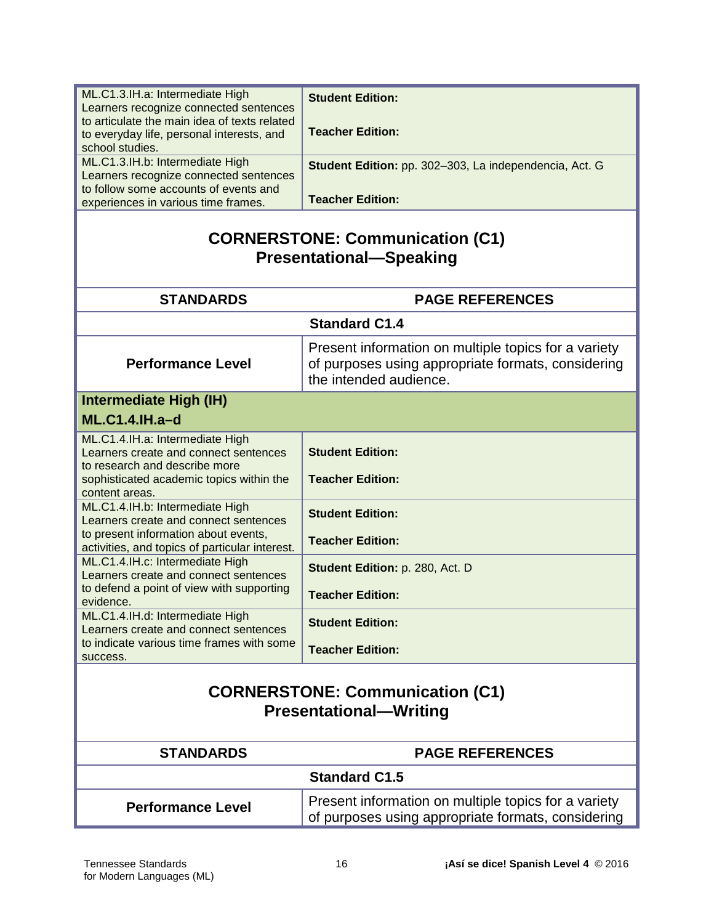| ML.C1.3.IH.a: Intermediate High                                                        | <b>Student Edition:</b>                                |  |
|----------------------------------------------------------------------------------------|--------------------------------------------------------|--|
| Learners recognize connected sentences<br>to articulate the main idea of texts related |                                                        |  |
| to everyday life, personal interests, and                                              | <b>Teacher Edition:</b>                                |  |
| school studies.                                                                        |                                                        |  |
| ML.C1.3.IH.b: Intermediate High                                                        |                                                        |  |
| Learners recognize connected sentences                                                 | Student Edition: pp. 302-303, La independencia, Act. G |  |
| to follow some accounts of events and                                                  |                                                        |  |
| experiences in various time frames.                                                    | <b>Teacher Edition:</b>                                |  |
| <b>CORNERSTONE: Communication (C1)</b><br><b>Presentational-Speaking</b>               |                                                        |  |
| <b>STANDARDS</b>                                                                       | <b>PAGE REFERENCES</b>                                 |  |
| <b>Standard C1.4</b>                                                                   |                                                        |  |
|                                                                                        | Present information on multiple topics for a variety   |  |
| <b>Performance Level</b>                                                               | of purposes using appropriate formats, considering     |  |
|                                                                                        | the intended audience.                                 |  |
| Intermediate High (IH)                                                                 |                                                        |  |
| <b>ML.C1.4.IH.a-d</b>                                                                  |                                                        |  |
|                                                                                        |                                                        |  |
| ML.C1.4.IH.a: Intermediate High                                                        | <b>Student Edition:</b>                                |  |
| Learners create and connect sentences<br>to research and describe more                 |                                                        |  |
| sophisticated academic topics within the                                               | <b>Teacher Edition:</b>                                |  |
| content areas.                                                                         |                                                        |  |
| ML.C1.4.IH.b: Intermediate High                                                        | <b>Student Edition:</b>                                |  |
| Learners create and connect sentences                                                  |                                                        |  |
| to present information about events,                                                   | <b>Teacher Edition:</b>                                |  |
| activities, and topics of particular interest.<br>ML.C1.4.IH.c: Intermediate High      |                                                        |  |
| Learners create and connect sentences                                                  | Student Edition: p. 280, Act. D                        |  |
| to defend a point of view with supporting                                              |                                                        |  |
| evidence.                                                                              | <b>Teacher Edition:</b>                                |  |
| ML.C1.4.IH.d: Intermediate High                                                        | <b>Student Edition:</b>                                |  |
| Learners create and connect sentences                                                  |                                                        |  |
| to indicate various time frames with some                                              | <b>Teacher Edition:</b>                                |  |
| success.                                                                               |                                                        |  |
|                                                                                        |                                                        |  |
| <b>CORNERSTONE: Communication (C1)</b>                                                 |                                                        |  |
| <b>Presentational-Writing</b>                                                          |                                                        |  |
|                                                                                        |                                                        |  |
| <b>STANDARDS</b>                                                                       | <b>PAGE REFERENCES</b>                                 |  |
|                                                                                        | <b>Standard C1.5</b>                                   |  |
|                                                                                        | Present information on multiple topics for a variety   |  |
| <b>Performance Level</b>                                                               | of purposes using appropriate formats, considering     |  |
|                                                                                        |                                                        |  |